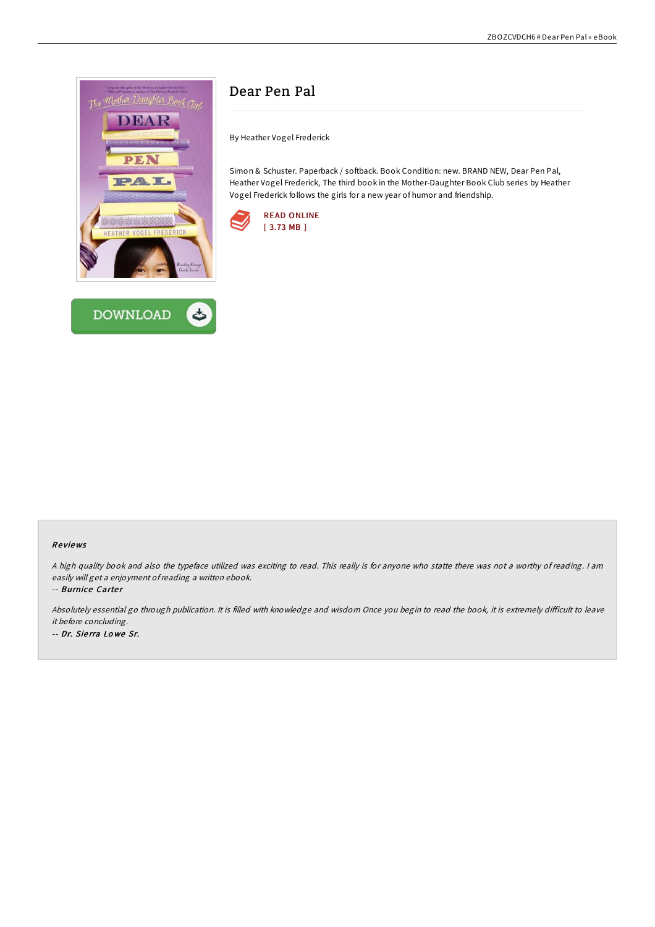



# Dear Pen Pal

By Heather Vogel Frederick

Simon & Schuster. Paperback / softback. Book Condition: new. BRAND NEW, Dear Pen Pal, Heather Vogel Frederick, The third book in the Mother-Daughter Book Club series by Heather Vogel Frederick follows the girls for a new year of humor and friendship.



## Re views

<sup>A</sup> high quality book and also the typeface utilized was exciting to read. This really is for anyone who statte there was not <sup>a</sup> worthy of reading. <sup>I</sup> am easily will get <sup>a</sup> enjoyment ofreading <sup>a</sup> written ebook.

-- Burnice Carter

Absolutely essential go through publication. It is filled with knowledge and wisdom Once you begin to read the book, it is extremely difficult to leave it before concluding. -- Dr. Sierra Lowe Sr.